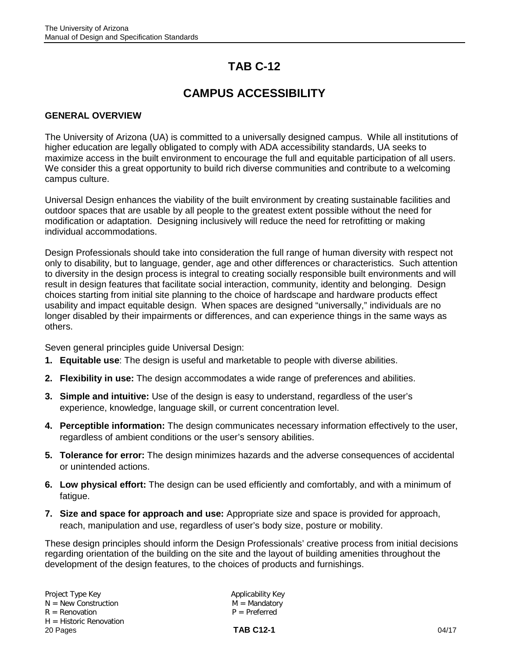# **TAB C-12**

# **CAMPUS ACCESSIBILITY**

#### **GENERAL OVERVIEW**

The University of Arizona (UA) is committed to a universally designed campus. While all institutions of higher education are legally obligated to comply with ADA accessibility standards, UA seeks to maximize access in the built environment to encourage the full and equitable participation of all users. We consider this a great opportunity to build rich diverse communities and contribute to a welcoming campus culture.

Universal Design enhances the viability of the built environment by creating sustainable facilities and outdoor spaces that are usable by all people to the greatest extent possible without the need for modification or adaptation. Designing inclusively will reduce the need for retrofitting or making individual accommodations.

Design Professionals should take into consideration the full range of human diversity with respect not only to disability, but to language, gender, age and other differences or characteristics. Such attention to diversity in the design process is integral to creating socially responsible built environments and will result in design features that facilitate social interaction, community, identity and belonging. Design choices starting from initial site planning to the choice of hardscape and hardware products effect usability and impact equitable design. When spaces are designed "universally," individuals are no longer disabled by their impairments or differences, and can experience things in the same ways as others.

Seven general principles guide Universal Design:

- **1. Equitable use**: The design is useful and marketable to people with diverse abilities.
- **2. Flexibility in use:** The design accommodates a wide range of preferences and abilities.
- **3. Simple and intuitive:** Use of the design is easy to understand, regardless of the user's experience, knowledge, language skill, or current concentration level.
- **4. Perceptible information:** The design communicates necessary information effectively to the user, regardless of ambient conditions or the user's sensory abilities.
- **5. Tolerance for error:** The design minimizes hazards and the adverse consequences of accidental or unintended actions.
- **6. Low physical effort:** The design can be used efficiently and comfortably, and with a minimum of fatigue.
- **7. Size and space for approach and use:** Appropriate size and space is provided for approach, reach, manipulation and use, regardless of user's body size, posture or mobility.

These design principles should inform the Design Professionals' creative process from initial decisions regarding orientation of the building on the site and the layout of building amenities throughout the development of the design features, to the choices of products and furnishings.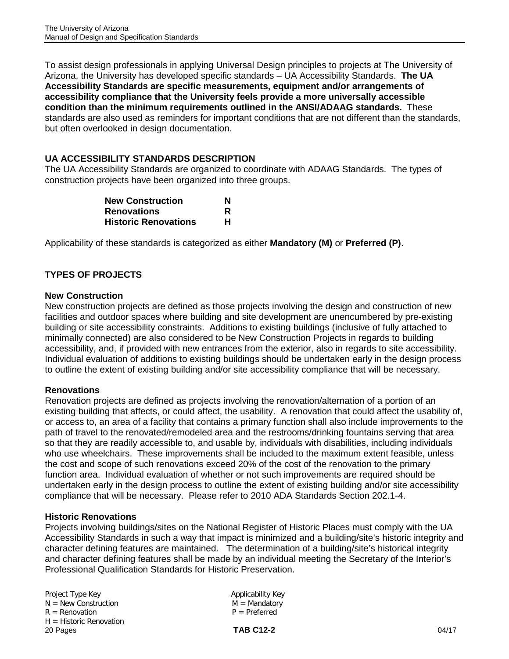To assist design professionals in applying Universal Design principles to projects at The University of Arizona, the University has developed specific standards – UA Accessibility Standards. **The UA Accessibility Standards are specific measurements, equipment and/or arrangements of accessibility compliance that the University feels provide a more universally accessible condition than the minimum requirements outlined in the ANSI/ADAAG standards.** These standards are also used as reminders for important conditions that are not different than the standards, but often overlooked in design documentation.

### **UA ACCESSIBILITY STANDARDS DESCRIPTION**

The UA Accessibility Standards are organized to coordinate with ADAAG Standards. The types of construction projects have been organized into three groups.

| <b>New Construction</b>     | N |
|-----------------------------|---|
| <b>Renovations</b>          | R |
| <b>Historic Renovations</b> | н |

Applicability of these standards is categorized as either **Mandatory (M)** or **Preferred (P)**.

### **TYPES OF PROJECTS**

#### **New Construction**

New construction projects are defined as those projects involving the design and construction of new facilities and outdoor spaces where building and site development are unencumbered by pre-existing building or site accessibility constraints. Additions to existing buildings (inclusive of fully attached to minimally connected) are also considered to be New Construction Projects in regards to building accessibility, and, if provided with new entrances from the exterior, also in regards to site accessibility. Individual evaluation of additions to existing buildings should be undertaken early in the design process to outline the extent of existing building and/or site accessibility compliance that will be necessary.

#### **Renovations**

Renovation projects are defined as projects involving the renovation/alternation of a portion of an existing building that affects, or could affect, the usability. A renovation that could affect the usability of, or access to, an area of a facility that contains a primary function shall also include improvements to the path of travel to the renovated/remodeled area and the restrooms/drinking fountains serving that area so that they are readily accessible to, and usable by, individuals with disabilities, including individuals who use wheelchairs. These improvements shall be included to the maximum extent feasible, unless the cost and scope of such renovations exceed 20% of the cost of the renovation to the primary function area. Individual evaluation of whether or not such improvements are required should be undertaken early in the design process to outline the extent of existing building and/or site accessibility compliance that will be necessary. Please refer to 2010 ADA Standards Section 202.1-4.

#### **Historic Renovations**

Projects involving buildings/sites on the National Register of Historic Places must comply with the UA Accessibility Standards in such a way that impact is minimized and a building/site's historic integrity and character defining features are maintained. The determination of a building/site's historical integrity and character defining features shall be made by an individual meeting the Secretary of the Interior's Professional Qualification Standards for Historic Preservation.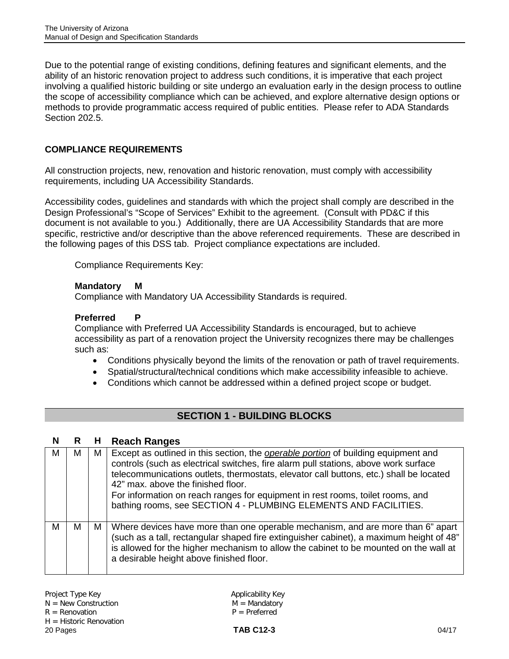Due to the potential range of existing conditions, defining features and significant elements, and the ability of an historic renovation project to address such conditions, it is imperative that each project involving a qualified historic building or site undergo an evaluation early in the design process to outline the scope of accessibility compliance which can be achieved, and explore alternative design options or methods to provide programmatic access required of public entities. Please refer to ADA Standards Section 202.5.

### **COMPLIANCE REQUIREMENTS**

All construction projects, new, renovation and historic renovation, must comply with accessibility requirements, including UA Accessibility Standards.

Accessibility codes, guidelines and standards with which the project shall comply are described in the Design Professional's "Scope of Services" Exhibit to the agreement. (Consult with PD&C if this document is not available to you.) Additionally, there are UA Accessibility Standards that are more specific, restrictive and/or descriptive than the above referenced requirements. These are described in the following pages of this DSS tab. Project compliance expectations are included.

Compliance Requirements Key:

#### **Mandatory M**

Compliance with Mandatory UA Accessibility Standards is required.

#### **Preferred P**

Compliance with Preferred UA Accessibility Standards is encouraged, but to achieve accessibility as part of a renovation project the University recognizes there may be challenges such as:

- Conditions physically beyond the limits of the renovation or path of travel requirements.
- Spatial/structural/technical conditions which make accessibility infeasible to achieve.
- Conditions which cannot be addressed within a defined project scope or budget.

### **SECTION 1 - BUILDING BLOCKS**

#### **N R H Reach Ranges**

| м | м | M | Except as outlined in this section, the operable portion of building equipment and<br>controls (such as electrical switches, fire alarm pull stations, above work surface<br>telecommunications outlets, thermostats, elevator call buttons, etc.) shall be located<br>42" max, above the finished floor.<br>For information on reach ranges for equipment in rest rooms, toilet rooms, and<br>bathing rooms, see SECTION 4 - PLUMBING ELEMENTS AND FACILITIES. |
|---|---|---|-----------------------------------------------------------------------------------------------------------------------------------------------------------------------------------------------------------------------------------------------------------------------------------------------------------------------------------------------------------------------------------------------------------------------------------------------------------------|
| м | м | М | Where devices have more than one operable mechanism, and are more than 6" apart<br>(such as a tall, rectangular shaped fire extinguisher cabinet), a maximum height of 48"<br>is allowed for the higher mechanism to allow the cabinet to be mounted on the wall at<br>a desirable height above finished floor.                                                                                                                                                 |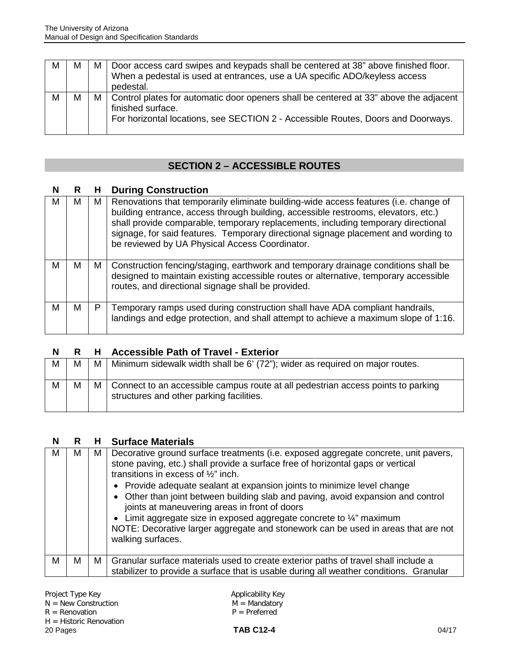| М | M | M | Door access card swipes and keypads shall be centered at 38" above finished floor.<br>When a pedestal is used at entrances, use a UA specific ADO/keyless access<br>pedestal.                      |
|---|---|---|----------------------------------------------------------------------------------------------------------------------------------------------------------------------------------------------------|
| M | м |   | M   Control plates for automatic door openers shall be centered at 33" above the adjacent<br>finished surface.<br>For horizontal locations, see SECTION 2 - Accessible Routes, Doors and Doorways. |

## **SECTION 2 – ACCESSIBLE ROUTES**

## **N R H During Construction**

| м | м | M I | Renovations that temporarily eliminate building-wide access features (i.e. change of<br>building entrance, access through building, accessible restrooms, elevators, etc.)<br>shall provide comparable, temporary replacements, including temporary directional<br>signage, for said features. Temporary directional signage placement and wording to<br>be reviewed by UA Physical Access Coordinator. |
|---|---|-----|---------------------------------------------------------------------------------------------------------------------------------------------------------------------------------------------------------------------------------------------------------------------------------------------------------------------------------------------------------------------------------------------------------|
| м | м | M   | Construction fencing/staging, earthwork and temporary drainage conditions shall be<br>designed to maintain existing accessible routes or alternative, temporary accessible<br>routes, and directional signage shall be provided.                                                                                                                                                                        |
| м | м | P   | Temporary ramps used during construction shall have ADA compliant handrails,<br>landings and edge protection, and shall attempt to achieve a maximum slope of 1:16.                                                                                                                                                                                                                                     |

#### **N R H Accessible Path of Travel - Exterior**

| M | M | M | Minimum sidewalk width shall be 6' (72"); wider as required on major routes.                                                     |
|---|---|---|----------------------------------------------------------------------------------------------------------------------------------|
| M | M |   | M   Connect to an accessible campus route at all pedestrian access points to parking<br>structures and other parking facilities. |

### **N R H Surface Materials**

| Decorative ground surface treatments (i.e. exposed aggregate concrete, unit pavers,<br>м<br>м<br>M<br>stone paving, etc.) shall provide a surface free of horizontal gaps or vertical<br>transitions in excess of $\frac{1}{2}$ " inch.<br>• Provide adequate sealant at expansion joints to minimize level change<br>• Other than joint between building slab and paving, avoid expansion and control<br>joints at maneuvering areas in front of doors<br>• Limit aggregate size in exposed aggregate concrete to $\frac{1}{4}$ " maximum<br>NOTE: Decorative larger aggregate and stonework can be used in areas that are not<br>walking surfaces.<br>м<br>м<br>Granular surface materials used to create exterior paths of travel shall include a<br>М<br>stabilizer to provide a surface that is usable during all weather conditions. Granular |  |  |
|-----------------------------------------------------------------------------------------------------------------------------------------------------------------------------------------------------------------------------------------------------------------------------------------------------------------------------------------------------------------------------------------------------------------------------------------------------------------------------------------------------------------------------------------------------------------------------------------------------------------------------------------------------------------------------------------------------------------------------------------------------------------------------------------------------------------------------------------------------|--|--|
|                                                                                                                                                                                                                                                                                                                                                                                                                                                                                                                                                                                                                                                                                                                                                                                                                                                     |  |  |
|                                                                                                                                                                                                                                                                                                                                                                                                                                                                                                                                                                                                                                                                                                                                                                                                                                                     |  |  |

 $\mathsf{I}$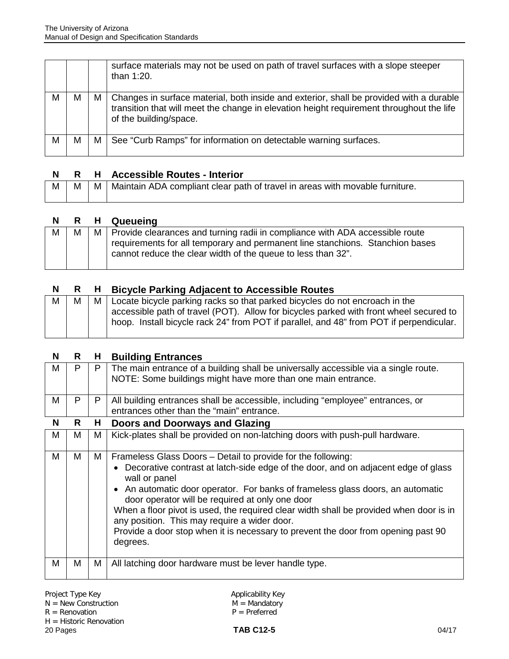|   |   |   | surface materials may not be used on path of travel surfaces with a slope steeper<br>than 1:20.                                                                                                               |
|---|---|---|---------------------------------------------------------------------------------------------------------------------------------------------------------------------------------------------------------------|
| M | М | M | Changes in surface material, both inside and exterior, shall be provided with a durable<br>transition that will meet the change in elevation height requirement throughout the life<br>of the building/space. |
| M | М | м | See "Curb Ramps" for information on detectable warning surfaces.                                                                                                                                              |

|             |  | R H Accessible Routes - Interior                                                             |
|-------------|--|----------------------------------------------------------------------------------------------|
| $M_{\odot}$ |  | $M \mid M \mid$ Maintain ADA compliant clear path of travel in areas with movable furniture. |

#### **N R H Queueing**

| M |  | M   Provide clearances and turning radii in compliance with ADA accessible route                                                              |
|---|--|-----------------------------------------------------------------------------------------------------------------------------------------------|
|   |  | requirements for all temporary and permanent line stanchions. Stanchion bases<br>cannot reduce the clear width of the queue to less than 32". |
|   |  |                                                                                                                                               |

## **N R H Bicycle Parking Adjacent to Accessible Routes**

| Μ |  | M   Locate bicycle parking racks so that parked bicycles do not encroach in the         |
|---|--|-----------------------------------------------------------------------------------------|
|   |  | accessible path of travel (POT). Allow for bicycles parked with front wheel secured to  |
|   |  | hoop. Install bicycle rack 24" from POT if parallel, and 48" from POT if perpendicular. |
|   |  |                                                                                         |

| N | R | Н, | <b>Building Entrances</b>                                                                                                                                                                                                                                                                                                                                                                                                                                                                                                                                                  |
|---|---|----|----------------------------------------------------------------------------------------------------------------------------------------------------------------------------------------------------------------------------------------------------------------------------------------------------------------------------------------------------------------------------------------------------------------------------------------------------------------------------------------------------------------------------------------------------------------------------|
| м | P | P  | The main entrance of a building shall be universally accessible via a single route.<br>NOTE: Some buildings might have more than one main entrance.                                                                                                                                                                                                                                                                                                                                                                                                                        |
| M | P | P  | All building entrances shall be accessible, including "employee" entrances, or<br>entrances other than the "main" entrance.                                                                                                                                                                                                                                                                                                                                                                                                                                                |
| N | R | H  | <b>Doors and Doorways and Glazing</b>                                                                                                                                                                                                                                                                                                                                                                                                                                                                                                                                      |
| M | М | М  | Kick-plates shall be provided on non-latching doors with push-pull hardware.                                                                                                                                                                                                                                                                                                                                                                                                                                                                                               |
| M | м | M  | Frameless Glass Doors - Detail to provide for the following:<br>Decorative contrast at latch-side edge of the door, and on adjacent edge of glass<br>$\bullet$<br>wall or panel<br>An automatic door operator. For banks of frameless glass doors, an automatic<br>$\bullet$<br>door operator will be required at only one door<br>When a floor pivot is used, the required clear width shall be provided when door is in<br>any position. This may require a wider door.<br>Provide a door stop when it is necessary to prevent the door from opening past 90<br>degrees. |
| M | M | M  | All latching door hardware must be lever handle type.                                                                                                                                                                                                                                                                                                                                                                                                                                                                                                                      |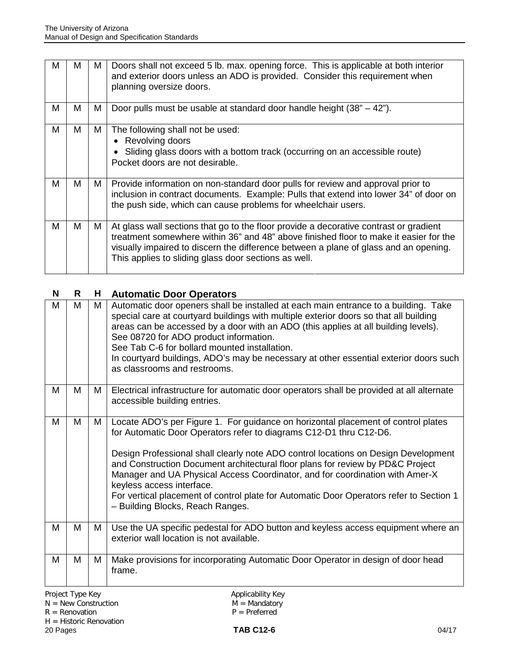| М | м | M | Doors shall not exceed 5 lb. max. opening force. This is applicable at both interior<br>and exterior doors unless an ADO is provided. Consider this requirement when<br>planning oversize doors.                                                                                                                               |
|---|---|---|--------------------------------------------------------------------------------------------------------------------------------------------------------------------------------------------------------------------------------------------------------------------------------------------------------------------------------|
| M | М | M | Door pulls must be usable at standard door handle height $(38o - 42o)$ .                                                                                                                                                                                                                                                       |
| М | М | М | The following shall not be used:<br>• Revolving doors<br>• Sliding glass doors with a bottom track (occurring on an accessible route)<br>Pocket doors are not desirable.                                                                                                                                                       |
| M | м | М | Provide information on non-standard door pulls for review and approval prior to<br>inclusion in contract documents. Example: Pulls that extend into lower 34" of door on<br>the push side, which can cause problems for wheelchair users.                                                                                      |
| м | м | М | At glass wall sections that go to the floor provide a decorative contrast or gradient<br>treatment somewhere within 36" and 48" above finished floor to make it easier for the<br>visually impaired to discern the difference between a plane of glass and an opening.<br>This applies to sliding glass door sections as well. |

## **N R H Automatic Door Operators**

| М | M | M | Automatic door openers shall be installed at each main entrance to a building. Take<br>special care at courtyard buildings with multiple exterior doors so that all building<br>areas can be accessed by a door with an ADO (this applies at all building levels).<br>See 08720 for ADO product information.<br>See Tab C-6 for bollard mounted installation.<br>In courtyard buildings, ADO's may be necessary at other essential exterior doors such<br>as classrooms and restrooms.                                                                                      |
|---|---|---|-----------------------------------------------------------------------------------------------------------------------------------------------------------------------------------------------------------------------------------------------------------------------------------------------------------------------------------------------------------------------------------------------------------------------------------------------------------------------------------------------------------------------------------------------------------------------------|
| М | M | M | Electrical infrastructure for automatic door operators shall be provided at all alternate<br>accessible building entries.                                                                                                                                                                                                                                                                                                                                                                                                                                                   |
| М | M | M | Locate ADO's per Figure 1. For guidance on horizontal placement of control plates<br>for Automatic Door Operators refer to diagrams C12-D1 thru C12-D6.<br>Design Professional shall clearly note ADO control locations on Design Development<br>and Construction Document architectural floor plans for review by PD&C Project<br>Manager and UA Physical Access Coordinator, and for coordination with Amer-X<br>keyless access interface.<br>For vertical placement of control plate for Automatic Door Operators refer to Section 1<br>- Building Blocks, Reach Ranges. |
| М | M | М | Use the UA specific pedestal for ADO button and keyless access equipment where an<br>exterior wall location is not available.                                                                                                                                                                                                                                                                                                                                                                                                                                               |
| М | M | M | Make provisions for incorporating Automatic Door Operator in design of door head<br>frame.                                                                                                                                                                                                                                                                                                                                                                                                                                                                                  |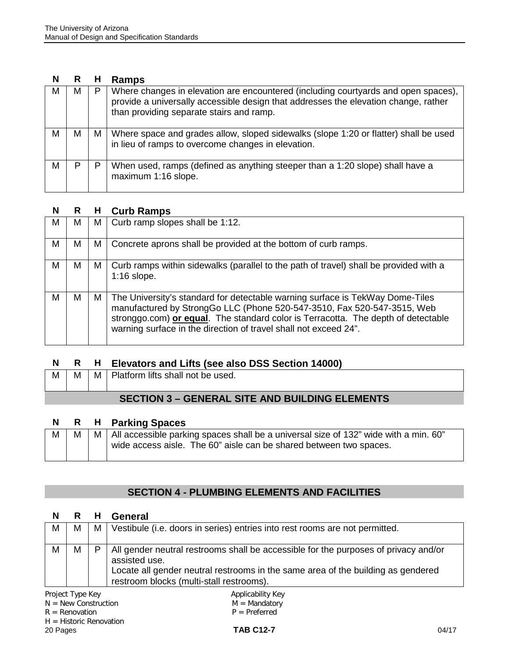#### **N R H Ramps**

| м | м |   | Where changes in elevation are encountered (including courtyards and open spaces),<br>provide a universally accessible design that addresses the elevation change, rather<br>than providing separate stairs and ramp. |
|---|---|---|-----------------------------------------------------------------------------------------------------------------------------------------------------------------------------------------------------------------------|
| M | М | М | Where space and grades allow, sloped sidewalks (slope 1:20 or flatter) shall be used<br>in lieu of ramps to overcome changes in elevation.                                                                            |
| M |   |   | When used, ramps (defined as anything steeper than a 1:20 slope) shall have a<br>maximum 1:16 slope.                                                                                                                  |

#### **N R H Curb Ramps**

| м | м | м | Curb ramp slopes shall be 1:12.                                                                                                                                                                                                                                                                                   |
|---|---|---|-------------------------------------------------------------------------------------------------------------------------------------------------------------------------------------------------------------------------------------------------------------------------------------------------------------------|
| M | М | M | Concrete aprons shall be provided at the bottom of curb ramps.                                                                                                                                                                                                                                                    |
| M | М | м | Curb ramps within sidewalks (parallel to the path of travel) shall be provided with a<br>$1:16$ slope.                                                                                                                                                                                                            |
| M | м | M | The University's standard for detectable warning surface is TekWay Dome-Tiles<br>manufactured by StrongGo LLC (Phone 520-547-3510, Fax 520-547-3515, Web<br>stronggo.com) or equal. The standard color is Terracotta. The depth of detectable<br>warning surface in the direction of travel shall not exceed 24". |

### **N R H Elevators and Lifts (see also DSS Section 14000)**

|  | $M \mid M \mid M$ Platform lifts shall not be used. |
|--|-----------------------------------------------------|
|  |                                                     |

### **SECTION 3 – GENERAL SITE AND BUILDING ELEMENTS**

### **N R H Parking Spaces**

|  | M   M   M   All accessible parking spaces shall be a universal size of 132" wide with a min. 60" |
|--|--------------------------------------------------------------------------------------------------|
|  | wide access aisle. The 60" aisle can be shared between two spaces.                               |
|  |                                                                                                  |

## **SECTION 4 - PLUMBING ELEMENTS AND FACILITIES**

#### **N R H General**

| м | M | M   Vestibule (i.e. doors in series) entries into rest rooms are not permitted.                                                                                                                                                      |
|---|---|--------------------------------------------------------------------------------------------------------------------------------------------------------------------------------------------------------------------------------------|
| M | М | All gender neutral restrooms shall be accessible for the purposes of privacy and/or<br>assisted use.<br>Locate all gender neutral restrooms in the same area of the building as gendered<br>restroom blocks (multi-stall restrooms). |

 $N = New Construction$ <br>  $R = Renovation$ <br>  $P = Preferred$  $R =$  Renovation H = Historic Renovation<br>20 Pages 20 Pages **TAB C12-7** 04/17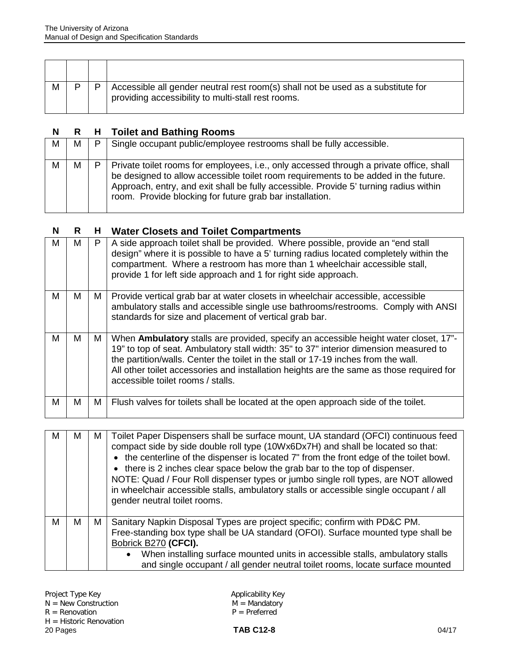| M | P | Accessible all gender neutral rest room(s) shall not be used as a substitute for<br>providing accessibility to multi-stall rest rooms. |
|---|---|----------------------------------------------------------------------------------------------------------------------------------------|

## **N R H Toilet and Bathing Rooms**

| M | M | P | Single occupant public/employee restrooms shall be fully accessible.                                                                                                                                                                                                                                                                |
|---|---|---|-------------------------------------------------------------------------------------------------------------------------------------------------------------------------------------------------------------------------------------------------------------------------------------------------------------------------------------|
| М | М |   | Private toilet rooms for employees, i.e., only accessed through a private office, shall<br>be designed to allow accessible toilet room requirements to be added in the future.<br>Approach, entry, and exit shall be fully accessible. Provide 5' turning radius within<br>room. Provide blocking for future grab bar installation. |

### **N R H Water Closets and Toilet Compartments**

| м | м | P | A side approach toilet shall be provided. Where possible, provide an "end stall<br>design" where it is possible to have a 5' turning radius located completely within the<br>compartment. Where a restroom has more than 1 wheelchair accessible stall,<br>provide 1 for left side approach and 1 for right side approach.                                                                           |
|---|---|---|------------------------------------------------------------------------------------------------------------------------------------------------------------------------------------------------------------------------------------------------------------------------------------------------------------------------------------------------------------------------------------------------------|
| м | м | М | Provide vertical grab bar at water closets in wheelchair accessible, accessible<br>ambulatory stalls and accessible single use bathrooms/restrooms. Comply with ANSI<br>standards for size and placement of vertical grab bar.                                                                                                                                                                       |
| м | м | M | When Ambulatory stalls are provided, specify an accessible height water closet, 17"-<br>19" to top of seat. Ambulatory stall width: 35" to 37" interior dimension measured to<br>the partition/walls. Center the toilet in the stall or 17-19 inches from the wall.<br>All other toilet accessories and installation heights are the same as those required for<br>accessible toilet rooms / stalls. |
| м | м | м | Flush valves for toilets shall be located at the open approach side of the toilet.                                                                                                                                                                                                                                                                                                                   |

| м | м | M I | Toilet Paper Dispensers shall be surface mount, UA standard (OFCI) continuous feed<br>compact side by side double roll type (10Wx6Dx7H) and shall be located so that:<br>• the centerline of the dispenser is located 7" from the front edge of the toilet bowl.<br>• there is 2 inches clear space below the grab bar to the top of dispenser.<br>NOTE: Quad / Four Roll dispenser types or jumbo single roll types, are NOT allowed<br>in wheelchair accessible stalls, ambulatory stalls or accessible single occupant / all<br>gender neutral toilet rooms. |
|---|---|-----|-----------------------------------------------------------------------------------------------------------------------------------------------------------------------------------------------------------------------------------------------------------------------------------------------------------------------------------------------------------------------------------------------------------------------------------------------------------------------------------------------------------------------------------------------------------------|
| М | м | M   | Sanitary Napkin Disposal Types are project specific; confirm with PD&C PM.<br>Free-standing box type shall be UA standard (OFOI). Surface mounted type shall be<br>Bobrick B270 (CFCI).<br>When installing surface mounted units in accessible stalls, ambulatory stalls<br>and single occupant / all gender neutral toilet rooms, locate surface mounted                                                                                                                                                                                                       |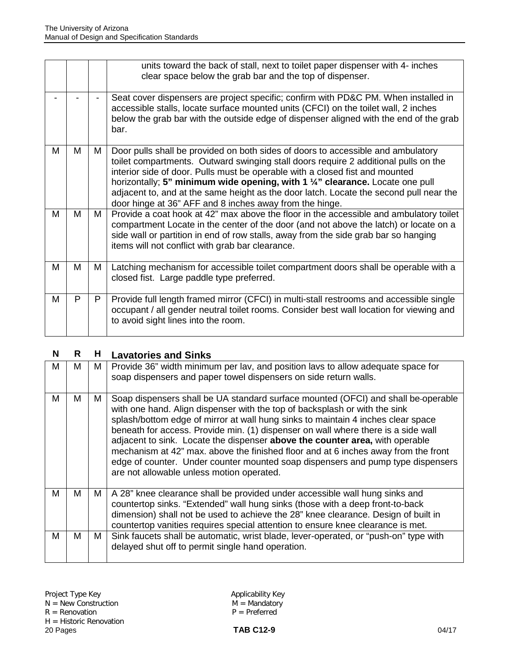|   |   |   | units toward the back of stall, next to toilet paper dispenser with 4- inches<br>clear space below the grab bar and the top of dispenser.                                                                                                                                                                                                                                                                                                                                                     |
|---|---|---|-----------------------------------------------------------------------------------------------------------------------------------------------------------------------------------------------------------------------------------------------------------------------------------------------------------------------------------------------------------------------------------------------------------------------------------------------------------------------------------------------|
|   |   |   | Seat cover dispensers are project specific; confirm with PD&C PM. When installed in<br>accessible stalls, locate surface mounted units (CFCI) on the toilet wall, 2 inches<br>below the grab bar with the outside edge of dispenser aligned with the end of the grab<br>bar.                                                                                                                                                                                                                  |
| м | М | M | Door pulls shall be provided on both sides of doors to accessible and ambulatory<br>toilet compartments. Outward swinging stall doors require 2 additional pulls on the<br>interior side of door. Pulls must be operable with a closed fist and mounted<br>horizontally; 5" minimum wide opening, with 1 1/4" clearance. Locate one pull<br>adjacent to, and at the same height as the door latch. Locate the second pull near the<br>door hinge at 36" AFF and 8 inches away from the hinge. |
| M | м | M | Provide a coat hook at 42" max above the floor in the accessible and ambulatory toilet<br>compartment Locate in the center of the door (and not above the latch) or locate on a<br>side wall or partition in end of row stalls, away from the side grab bar so hanging<br>items will not conflict with grab bar clearance.                                                                                                                                                                    |
| М | M | M | Latching mechanism for accessible toilet compartment doors shall be operable with a<br>closed fist. Large paddle type preferred.                                                                                                                                                                                                                                                                                                                                                              |
| м | P | P | Provide full length framed mirror (CFCI) in multi-stall restrooms and accessible single<br>occupant / all gender neutral toilet rooms. Consider best wall location for viewing and<br>to avoid sight lines into the room.                                                                                                                                                                                                                                                                     |

## **N R H Lavatories and Sinks**

| м | м | M | Provide 36" width minimum per lav, and position lavs to allow adequate space for<br>soap dispensers and paper towel dispensers on side return walls.                                                                                                                                                                                                                                                                                                                                                                                                                                                                                           |
|---|---|---|------------------------------------------------------------------------------------------------------------------------------------------------------------------------------------------------------------------------------------------------------------------------------------------------------------------------------------------------------------------------------------------------------------------------------------------------------------------------------------------------------------------------------------------------------------------------------------------------------------------------------------------------|
| м | м | М | Soap dispensers shall be UA standard surface mounted (OFCI) and shall be-operable<br>with one hand. Align dispenser with the top of backsplash or with the sink<br>splash/bottom edge of mirror at wall hung sinks to maintain 4 inches clear space<br>beneath for access. Provide min. (1) dispenser on wall where there is a side wall<br>adjacent to sink. Locate the dispenser above the counter area, with operable<br>mechanism at 42" max. above the finished floor and at 6 inches away from the front<br>edge of counter. Under counter mounted soap dispensers and pump type dispensers<br>are not allowable unless motion operated. |
| м | м | M | A 28" knee clearance shall be provided under accessible wall hung sinks and<br>countertop sinks. "Extended" wall hung sinks (those with a deep front-to-back<br>dimension) shall not be used to achieve the 28" knee clearance. Design of built in<br>countertop vanities requires special attention to ensure knee clearance is met.                                                                                                                                                                                                                                                                                                          |
| М | м | M | Sink faucets shall be automatic, wrist blade, lever-operated, or "push-on" type with<br>delayed shut off to permit single hand operation.                                                                                                                                                                                                                                                                                                                                                                                                                                                                                                      |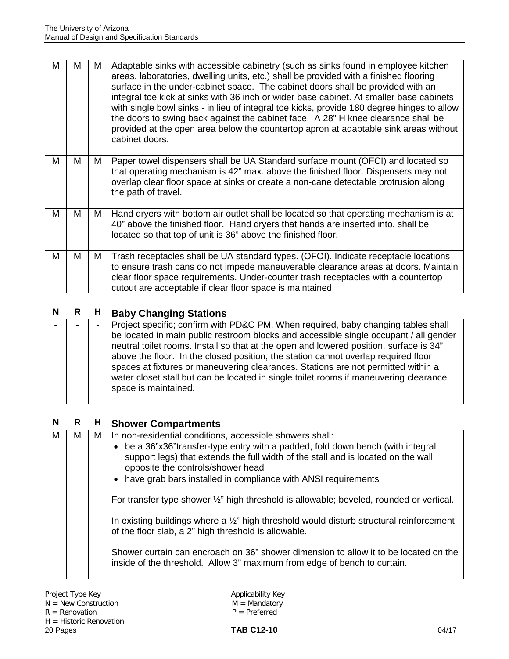| м | м | м | Adaptable sinks with accessible cabinetry (such as sinks found in employee kitchen<br>areas, laboratories, dwelling units, etc.) shall be provided with a finished flooring<br>surface in the under-cabinet space. The cabinet doors shall be provided with an<br>integral toe kick at sinks with 36 inch or wider base cabinet. At smaller base cabinets<br>with single bowl sinks - in lieu of integral toe kicks, provide 180 degree hinges to allow<br>the doors to swing back against the cabinet face. A 28" H knee clearance shall be<br>provided at the open area below the countertop apron at adaptable sink areas without<br>cabinet doors. |
|---|---|---|--------------------------------------------------------------------------------------------------------------------------------------------------------------------------------------------------------------------------------------------------------------------------------------------------------------------------------------------------------------------------------------------------------------------------------------------------------------------------------------------------------------------------------------------------------------------------------------------------------------------------------------------------------|
| M | м | М | Paper towel dispensers shall be UA Standard surface mount (OFCI) and located so<br>that operating mechanism is 42" max. above the finished floor. Dispensers may not<br>overlap clear floor space at sinks or create a non-cane detectable protrusion along<br>the path of travel.                                                                                                                                                                                                                                                                                                                                                                     |
| м | M | M | Hand dryers with bottom air outlet shall be located so that operating mechanism is at<br>40" above the finished floor. Hand dryers that hands are inserted into, shall be<br>located so that top of unit is 36" above the finished floor.                                                                                                                                                                                                                                                                                                                                                                                                              |
| м | м | М | Trash receptacles shall be UA standard types. (OFOI). Indicate receptacle locations<br>to ensure trash cans do not impede maneuverable clearance areas at doors. Maintain<br>clear floor space requirements. Under-counter trash receptacles with a countertop<br>cutout are acceptable if clear floor space is maintained                                                                                                                                                                                                                                                                                                                             |

## **N R H Baby Changing Stations**

|  |  |  | Project specific; confirm with PD&C PM. When required, baby changing tables shall<br>be located in main public restroom blocks and accessible single occupant / all gender<br>neutral toilet rooms. Install so that at the open and lowered position, surface is 34"<br>above the floor. In the closed position, the station cannot overlap required floor<br>spaces at fixtures or maneuvering clearances. Stations are not permitted within a<br>water closet stall but can be located in single toilet rooms if maneuvering clearance<br>space is maintained. |
|--|--|--|------------------------------------------------------------------------------------------------------------------------------------------------------------------------------------------------------------------------------------------------------------------------------------------------------------------------------------------------------------------------------------------------------------------------------------------------------------------------------------------------------------------------------------------------------------------|
|--|--|--|------------------------------------------------------------------------------------------------------------------------------------------------------------------------------------------------------------------------------------------------------------------------------------------------------------------------------------------------------------------------------------------------------------------------------------------------------------------------------------------------------------------------------------------------------------------|

## **N R H Shower Compartments**

| М | М | М | In non-residential conditions, accessible showers shall:<br>• be a 36"x36"transfer-type entry with a padded, fold down bench (with integral<br>support legs) that extends the full width of the stall and is located on the wall<br>opposite the controls/shower head<br>have grab bars installed in compliance with ANSI requirements<br>$\bullet$<br>For transfer type shower 1/2" high threshold is allowable; beveled, rounded or vertical. |
|---|---|---|-------------------------------------------------------------------------------------------------------------------------------------------------------------------------------------------------------------------------------------------------------------------------------------------------------------------------------------------------------------------------------------------------------------------------------------------------|
|   |   |   | In existing buildings where a 1/2" high threshold would disturb structural reinforcement<br>of the floor slab, a 2" high threshold is allowable.                                                                                                                                                                                                                                                                                                |
|   |   |   | Shower curtain can encroach on 36" shower dimension to allow it to be located on the<br>inside of the threshold. Allow 3" maximum from edge of bench to curtain.                                                                                                                                                                                                                                                                                |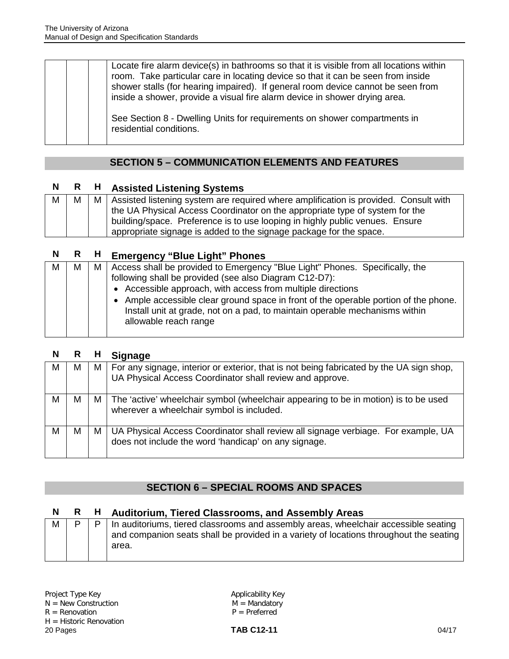| Locate fire alarm device(s) in bathrooms so that it is visible from all locations within<br>room. Take particular care in locating device so that it can be seen from inside<br>shower stalls (for hearing impaired). If general room device cannot be seen from<br>inside a shower, provide a visual fire alarm device in shower drying area. |
|------------------------------------------------------------------------------------------------------------------------------------------------------------------------------------------------------------------------------------------------------------------------------------------------------------------------------------------------|
| See Section 8 - Dwelling Units for requirements on shower compartments in<br>residential conditions.                                                                                                                                                                                                                                           |

## **SECTION 5 – COMMUNICATION ELEMENTS AND FEATURES**

## **N R H Assisted Listening Systems**

| M | М | M   Assisted listening system are required where amplification is provided. Consult with |
|---|---|------------------------------------------------------------------------------------------|
|   |   | the UA Physical Access Coordinator on the appropriate type of system for the             |
|   |   | building/space. Preference is to use looping in highly public venues. Ensure             |
|   |   | appropriate signage is added to the signage package for the space.                       |

## **N R H Emergency "Blue Light" Phones**

| М | м | M   Access shall be provided to Emergency "Blue Light" Phones. Specifically, the<br>following shall be provided (see also Diagram C12-D7):<br>• Accessible approach, with access from multiple directions |
|---|---|-----------------------------------------------------------------------------------------------------------------------------------------------------------------------------------------------------------|
|   |   | • Ample accessible clear ground space in front of the operable portion of the phone.<br>Install unit at grade, not on a pad, to maintain operable mechanisms within<br>allowable reach range              |

| N | R |     | <b>Signage</b>                                                                                                                                           |
|---|---|-----|----------------------------------------------------------------------------------------------------------------------------------------------------------|
| M | М |     | M   For any signage, interior or exterior, that is not being fabricated by the UA sign shop,<br>UA Physical Access Coordinator shall review and approve. |
| M | м |     | M   The 'active' wheelchair symbol (wheelchair appearing to be in motion) is to be used<br>wherever a wheelchair symbol is included.                     |
| M | М | M I | UA Physical Access Coordinator shall review all signage verbiage. For example, UA<br>does not include the word 'handicap' on any signage.                |

## **SECTION 6 – SPECIAL ROOMS AND SPACES**

### **N R H Auditorium, Tiered Classrooms, and Assembly Areas**

| M |  |  | In auditoriums, tiered classrooms and assembly areas, wheelchair accessible seating<br>and companion seats shall be provided in a variety of locations throughout the seating<br>area. |
|---|--|--|----------------------------------------------------------------------------------------------------------------------------------------------------------------------------------------|
|---|--|--|----------------------------------------------------------------------------------------------------------------------------------------------------------------------------------------|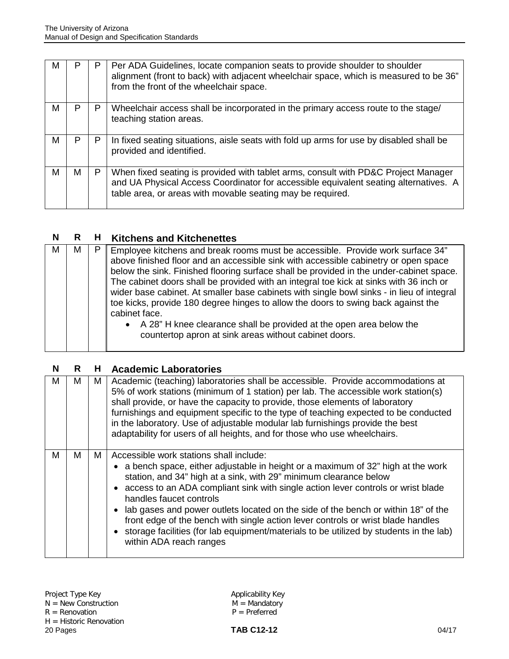| M |   | P | Per ADA Guidelines, locate companion seats to provide shoulder to shoulder<br>alignment (front to back) with adjacent wheelchair space, which is measured to be 36"<br>from the front of the wheelchair space.                           |
|---|---|---|------------------------------------------------------------------------------------------------------------------------------------------------------------------------------------------------------------------------------------------|
| М | Р | P | Wheelchair access shall be incorporated in the primary access route to the stage/<br>teaching station areas.                                                                                                                             |
| М | P | P | In fixed seating situations, aisle seats with fold up arms for use by disabled shall be<br>provided and identified.                                                                                                                      |
| М | м | P | When fixed seating is provided with tablet arms, consult with PD&C Project Manager<br>and UA Physical Access Coordinator for accessible equivalent seating alternatives. A<br>table area, or areas with movable seating may be required. |

### **N R H Kitchens and Kitchenettes**

| М | м |  | Employee kitchens and break rooms must be accessible. Provide work surface 34"<br>above finished floor and an accessible sink with accessible cabinetry or open space<br>below the sink. Finished flooring surface shall be provided in the under-cabinet space.<br>The cabinet doors shall be provided with an integral toe kick at sinks with 36 inch or<br>wider base cabinet. At smaller base cabinets with single bowl sinks - in lieu of integral<br>toe kicks, provide 180 degree hinges to allow the doors to swing back against the<br>cabinet face.<br>• A 28" H knee clearance shall be provided at the open area below the<br>countertop apron at sink areas without cabinet doors. |
|---|---|--|-------------------------------------------------------------------------------------------------------------------------------------------------------------------------------------------------------------------------------------------------------------------------------------------------------------------------------------------------------------------------------------------------------------------------------------------------------------------------------------------------------------------------------------------------------------------------------------------------------------------------------------------------------------------------------------------------|
|---|---|--|-------------------------------------------------------------------------------------------------------------------------------------------------------------------------------------------------------------------------------------------------------------------------------------------------------------------------------------------------------------------------------------------------------------------------------------------------------------------------------------------------------------------------------------------------------------------------------------------------------------------------------------------------------------------------------------------------|

#### **N R H Academic Laboratories**

| м | м | M | Academic (teaching) laboratories shall be accessible. Provide accommodations at<br>5% of work stations (minimum of 1 station) per lab. The accessible work station(s)<br>shall provide, or have the capacity to provide, those elements of laboratory<br>furnishings and equipment specific to the type of teaching expected to be conducted<br>in the laboratory. Use of adjustable modular lab furnishings provide the best<br>adaptability for users of all heights, and for those who use wheelchairs.                                                                                                         |
|---|---|---|--------------------------------------------------------------------------------------------------------------------------------------------------------------------------------------------------------------------------------------------------------------------------------------------------------------------------------------------------------------------------------------------------------------------------------------------------------------------------------------------------------------------------------------------------------------------------------------------------------------------|
| M | M | М | Accessible work stations shall include:<br>• a bench space, either adjustable in height or a maximum of 32" high at the work<br>station, and 34" high at a sink, with 29" minimum clearance below<br>• access to an ADA compliant sink with single action lever controls or wrist blade<br>handles faucet controls<br>lab gases and power outlets located on the side of the bench or within 18" of the<br>front edge of the bench with single action lever controls or wrist blade handles<br>• storage facilities (for lab equipment/materials to be utilized by students in the lab)<br>within ADA reach ranges |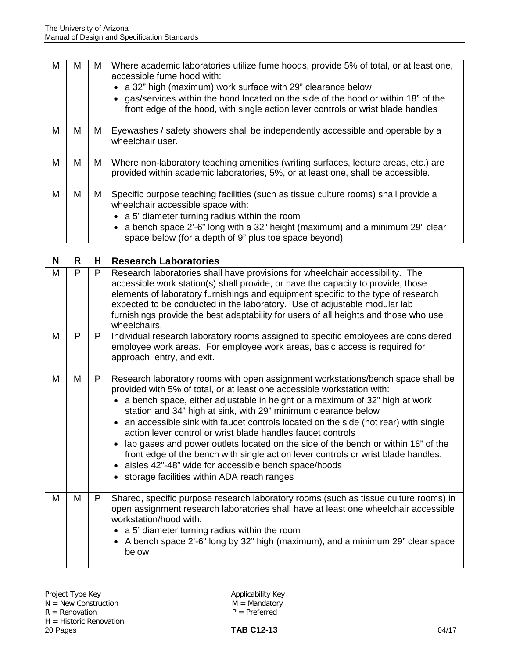| м | м | м | Where academic laboratories utilize fume hoods, provide 5% of total, or at least one,<br>accessible fume hood with:<br>• a 32" high (maximum) work surface with 29" clearance below<br>gas/services within the hood located on the side of the hood or within 18" of the<br>front edge of the hood, with single action lever controls or wrist blade handles |
|---|---|---|--------------------------------------------------------------------------------------------------------------------------------------------------------------------------------------------------------------------------------------------------------------------------------------------------------------------------------------------------------------|
| М | М | М | Eyewashes / safety showers shall be independently accessible and operable by a<br>wheelchair user.                                                                                                                                                                                                                                                           |
| M | М | M | Where non-laboratory teaching amenities (writing surfaces, lecture areas, etc.) are<br>provided within academic laboratories, 5%, or at least one, shall be accessible.                                                                                                                                                                                      |
| м | м | Μ | Specific purpose teaching facilities (such as tissue culture rooms) shall provide a<br>wheelchair accessible space with:<br>• a 5' diameter turning radius within the room<br>a bench space 2'-6" long with a 32" height (maximum) and a minimum 29" clear<br>space below (for a depth of 9" plus toe space beyond)                                          |

| N | R | Н | <b>Research Laboratories</b>                                                                                                                                                                                                                                                                                                                                                                                                                                                                                                                                                                                                                                                                                                                                       |
|---|---|---|--------------------------------------------------------------------------------------------------------------------------------------------------------------------------------------------------------------------------------------------------------------------------------------------------------------------------------------------------------------------------------------------------------------------------------------------------------------------------------------------------------------------------------------------------------------------------------------------------------------------------------------------------------------------------------------------------------------------------------------------------------------------|
| M | P | P | Research laboratories shall have provisions for wheelchair accessibility. The<br>accessible work station(s) shall provide, or have the capacity to provide, those<br>elements of laboratory furnishings and equipment specific to the type of research<br>expected to be conducted in the laboratory. Use of adjustable modular lab<br>furnishings provide the best adaptability for users of all heights and those who use<br>wheelchairs.                                                                                                                                                                                                                                                                                                                        |
| M | P | P | Individual research laboratory rooms assigned to specific employees are considered<br>employee work areas. For employee work areas, basic access is required for<br>approach, entry, and exit.                                                                                                                                                                                                                                                                                                                                                                                                                                                                                                                                                                     |
| M | M | P | Research laboratory rooms with open assignment workstations/bench space shall be<br>provided with 5% of total, or at least one accessible workstation with:<br>a bench space, either adjustable in height or a maximum of 32" high at work<br>$\bullet$<br>station and 34" high at sink, with 29" minimum clearance below<br>an accessible sink with faucet controls located on the side (not rear) with single<br>action lever control or wrist blade handles faucet controls<br>lab gases and power outlets located on the side of the bench or within 18" of the<br>front edge of the bench with single action lever controls or wrist blade handles.<br>• aisles 42"-48" wide for accessible bench space/hoods<br>• storage facilities within ADA reach ranges |
| М | M | P | Shared, specific purpose research laboratory rooms (such as tissue culture rooms) in<br>open assignment research laboratories shall have at least one wheelchair accessible<br>workstation/hood with:<br>• a 5' diameter turning radius within the room<br>A bench space 2'-6" long by 32" high (maximum), and a minimum 29" clear space<br>$\bullet$<br>below                                                                                                                                                                                                                                                                                                                                                                                                     |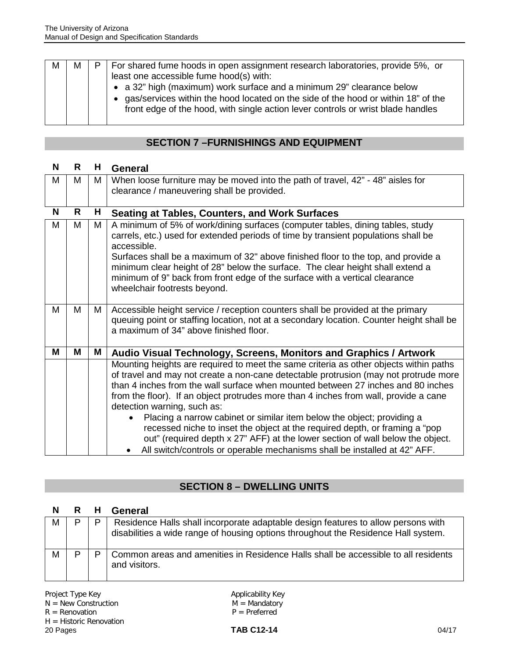| м | м | P. | For shared fume hoods in open assignment research laboratories, provide 5%, or<br>least one accessible fume hood(s) with:<br>• a 32" high (maximum) work surface and a minimum 29" clearance below<br>• gas/services within the hood located on the side of the hood or within 18" of the<br>front edge of the hood, with single action lever controls or wrist blade handles |
|---|---|----|-------------------------------------------------------------------------------------------------------------------------------------------------------------------------------------------------------------------------------------------------------------------------------------------------------------------------------------------------------------------------------|
|---|---|----|-------------------------------------------------------------------------------------------------------------------------------------------------------------------------------------------------------------------------------------------------------------------------------------------------------------------------------------------------------------------------------|

| N | R | н  | <b>General</b>                                                                                    |
|---|---|----|---------------------------------------------------------------------------------------------------|
| M | м | М  | When loose furniture may be moved into the path of travel, 42" - 48" aisles for                   |
|   |   |    | clearance / maneuvering shall be provided.                                                        |
|   |   |    |                                                                                                   |
| N | R | Н. | <b>Seating at Tables, Counters, and Work Surfaces</b>                                             |
| M | M | М  | A minimum of 5% of work/dining surfaces (computer tables, dining tables, study                    |
|   |   |    | carrels, etc.) used for extended periods of time by transient populations shall be<br>accessible. |
|   |   |    | Surfaces shall be a maximum of 32" above finished floor to the top, and provide a                 |
|   |   |    | minimum clear height of 28" below the surface. The clear height shall extend a                    |
|   |   |    | minimum of 9" back from front edge of the surface with a vertical clearance                       |
|   |   |    | wheelchair footrests beyond.                                                                      |
|   |   |    |                                                                                                   |
| м | м | M  | Accessible height service / reception counters shall be provided at the primary                   |
|   |   |    | queuing point or staffing location, not at a secondary location. Counter height shall be          |
|   |   |    | a maximum of 34" above finished floor.                                                            |
|   |   |    |                                                                                                   |
| М | M | Μ  | Audio Visual Technology, Screens, Monitors and Graphics / Artwork                                 |
|   |   |    | Mounting heights are required to meet the same criteria as other objects within paths             |
|   |   |    | of travel and may not create a non-cane detectable protrusion (may not protrude more              |
|   |   |    | than 4 inches from the wall surface when mounted between 27 inches and 80 inches                  |
|   |   |    | from the floor). If an object protrudes more than 4 inches from wall, provide a cane              |
|   |   |    | detection warning, such as:                                                                       |
|   |   |    | Placing a narrow cabinet or similar item below the object; providing a<br>$\bullet$               |
|   |   |    | recessed niche to inset the object at the required depth, or framing a "pop                       |
|   |   |    | out" (required depth x 27" AFF) at the lower section of wall below the object.                    |
|   |   |    | All switch/controls or operable mechanisms shall be installed at 42" AFF.                         |

## **SECTION 8 – DWELLING UNITS**

| N | R | н | General                                                                                                                                                                 |
|---|---|---|-------------------------------------------------------------------------------------------------------------------------------------------------------------------------|
| M | Þ | D | Residence Halls shall incorporate adaptable design features to allow persons with<br>disabilities a wide range of housing options throughout the Residence Hall system. |
| M | D |   | Common areas and amenities in Residence Halls shall be accessible to all residents<br>and visitors.                                                                     |

Project Type Key Applicability Key N = New Construction M = Mandatory  $R =$  Renovation  $P =$  Preferred H = Historic Renovation<br>20 Pages 20 Pages **TAB C12-14** 04/17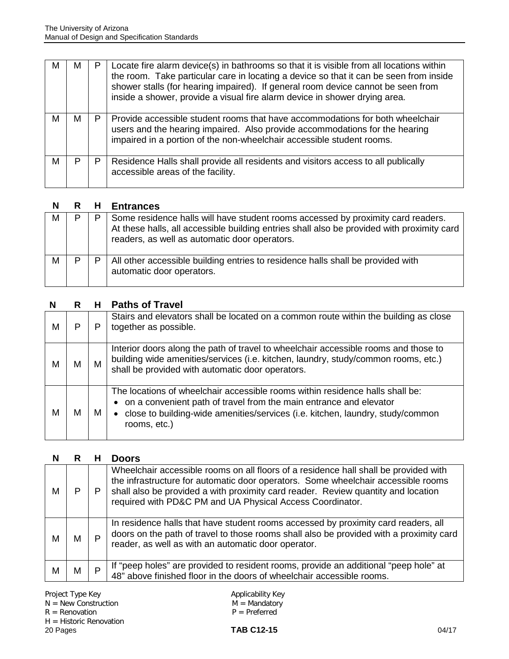| м | м |   | Locate fire alarm device(s) in bathrooms so that it is visible from all locations within<br>the room. Take particular care in locating a device so that it can be seen from inside<br>shower stalls (for hearing impaired). If general room device cannot be seen from<br>inside a shower, provide a visual fire alarm device in shower drying area. |
|---|---|---|------------------------------------------------------------------------------------------------------------------------------------------------------------------------------------------------------------------------------------------------------------------------------------------------------------------------------------------------------|
| м | м | P | Provide accessible student rooms that have accommodations for both wheelchair<br>users and the hearing impaired. Also provide accommodations for the hearing<br>impaired in a portion of the non-wheelchair accessible student rooms.                                                                                                                |
| м | P |   | Residence Halls shall provide all residents and visitors access to all publically<br>accessible areas of the facility.                                                                                                                                                                                                                               |

|   |  | <b>Entrances</b>                                                                                                                                                                                                                |
|---|--|---------------------------------------------------------------------------------------------------------------------------------------------------------------------------------------------------------------------------------|
| M |  | Some residence halls will have student rooms accessed by proximity card readers.<br>At these halls, all accessible building entries shall also be provided with proximity card<br>readers, as well as automatic door operators. |
| М |  | All other accessible building entries to residence halls shall be provided with<br>automatic door operators.                                                                                                                    |

| N | R | н | <b>Paths of Travel</b>                                                                                                                                                                                                                                    |
|---|---|---|-----------------------------------------------------------------------------------------------------------------------------------------------------------------------------------------------------------------------------------------------------------|
| M | P | Р | Stairs and elevators shall be located on a common route within the building as close<br>together as possible.                                                                                                                                             |
| М | м | M | Interior doors along the path of travel to wheelchair accessible rooms and those to<br>building wide amenities/services (i.e. kitchen, laundry, study/common rooms, etc.)<br>shall be provided with automatic door operators.                             |
| М | м | M | The locations of wheelchair accessible rooms within residence halls shall be:<br>• on a convenient path of travel from the main entrance and elevator<br>• close to building-wide amenities/services (i.e. kitchen, laundry, study/common<br>rooms, etc.) |

| N |   | н | <b>Doors</b>                                                                                                                                                                                                                                                                                                                |
|---|---|---|-----------------------------------------------------------------------------------------------------------------------------------------------------------------------------------------------------------------------------------------------------------------------------------------------------------------------------|
| м |   |   | Wheelchair accessible rooms on all floors of a residence hall shall be provided with<br>the infrastructure for automatic door operators. Some wheelchair accessible rooms<br>shall also be provided a with proximity card reader. Review quantity and location<br>required with PD&C PM and UA Physical Access Coordinator. |
| м | м | P | In residence halls that have student rooms accessed by proximity card readers, all<br>doors on the path of travel to those rooms shall also be provided with a proximity card<br>reader, as well as with an automatic door operator.                                                                                        |
| м | м | P | If "peep holes" are provided to resident rooms, provide an additional "peep hole" at<br>48" above finished floor in the doors of wheelchair accessible rooms.                                                                                                                                                               |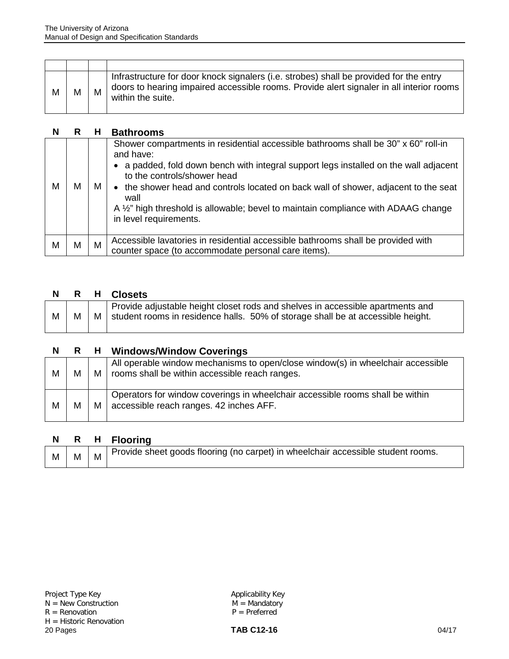| M | M | M | Infrastructure for door knock signalers (i.e. strobes) shall be provided for the entry<br>doors to hearing impaired accessible rooms. Provide alert signaler in all interior rooms<br>within the suite. |
|---|---|---|---------------------------------------------------------------------------------------------------------------------------------------------------------------------------------------------------------|

| N | R | н | <b>Bathrooms</b>                                                                                                                                                                                                                                                                                                                                                                                                                     |
|---|---|---|--------------------------------------------------------------------------------------------------------------------------------------------------------------------------------------------------------------------------------------------------------------------------------------------------------------------------------------------------------------------------------------------------------------------------------------|
| м | м | M | Shower compartments in residential accessible bathrooms shall be 30" x 60" roll-in<br>and have:<br>a padded, fold down bench with integral support legs installed on the wall adjacent<br>to the controls/shower head<br>• the shower head and controls located on back wall of shower, adjacent to the seat<br>wall<br>A 1/2" high threshold is allowable; bevel to maintain compliance with ADAAG change<br>in level requirements. |
| м | м | м | Accessible lavatories in residential accessible bathrooms shall be provided with<br>counter space (to accommodate personal care items).                                                                                                                                                                                                                                                                                              |

| N. |  | R H Closets                                                                                                                                                                  |
|----|--|------------------------------------------------------------------------------------------------------------------------------------------------------------------------------|
| M  |  | Provide adjustable height closet rods and shelves in accessible apartments and<br>$M \mid M$ student rooms in residence halls. 50% of storage shall be at accessible height. |

| N. | $\mathsf{R}$ |     | <b>H</b> Windows/Window Coverings                                                                                                     |
|----|--------------|-----|---------------------------------------------------------------------------------------------------------------------------------------|
| М  | М            |     | All operable window mechanisms to open/close window(s) in wheelchair accessible<br>M   rooms shall be within accessible reach ranges. |
| М  | M            | M I | Operators for window coverings in wheelchair accessible rooms shall be within<br>accessible reach ranges. 42 inches AFF.              |

|  | <b>Flooring</b> |
|--|-----------------|
|--|-----------------|

| M | M | M | Provide sheet goods flooring (no carpet) in wheelchair accessible student rooms. |
|---|---|---|----------------------------------------------------------------------------------|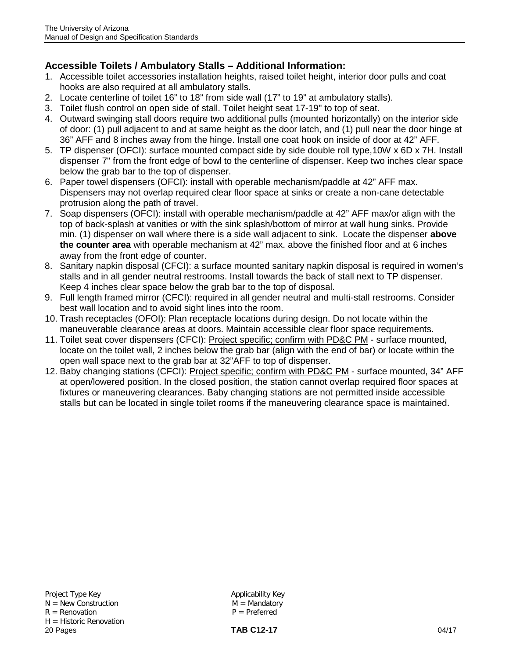### **Accessible Toilets / Ambulatory Stalls – Additional Information:**

- 1. Accessible toilet accessories installation heights, raised toilet height, interior door pulls and coat hooks are also required at all ambulatory stalls.
- 2. Locate centerline of toilet 16" to 18" from side wall (17" to 19" at ambulatory stalls).
- 3. Toilet flush control on open side of stall. Toilet height seat 17-19" to top of seat.
- 4. Outward swinging stall doors require two additional pulls (mounted horizontally) on the interior side of door: (1) pull adjacent to and at same height as the door latch, and (1) pull near the door hinge at 36" AFF and 8 inches away from the hinge. Install one coat hook on inside of door at 42" AFF.
- 5. TP dispenser (OFCI): surface mounted compact side by side double roll type,10W x 6D x 7H. Install dispenser 7" from the front edge of bowl to the centerline of dispenser. Keep two inches clear space below the grab bar to the top of dispenser.
- 6. Paper towel dispensers (OFCI): install with operable mechanism/paddle at 42" AFF max. Dispensers may not overlap required clear floor space at sinks or create a non-cane detectable protrusion along the path of travel.
- 7. Soap dispensers (OFCI): install with operable mechanism/paddle at 42" AFF max/or align with the top of back-splash at vanities or with the sink splash/bottom of mirror at wall hung sinks. Provide min. (1) dispenser on wall where there is a side wall adjacent to sink. Locate the dispenser **above the counter area** with operable mechanism at 42" max. above the finished floor and at 6 inches away from the front edge of counter.
- 8. Sanitary napkin disposal (CFCI): a surface mounted sanitary napkin disposal is required in women's stalls and in all gender neutral restrooms. Install towards the back of stall next to TP dispenser. Keep 4 inches clear space below the grab bar to the top of disposal.
- 9. Full length framed mirror (CFCI): required in all gender neutral and multi-stall restrooms. Consider best wall location and to avoid sight lines into the room.
- 10. Trash receptacles (OFOI): Plan receptacle locations during design. Do not locate within the maneuverable clearance areas at doors. Maintain accessible clear floor space requirements.
- 11. Toilet seat cover dispensers (CFCI): Project specific; confirm with PD&C PM surface mounted, locate on the toilet wall, 2 inches below the grab bar (align with the end of bar) or locate within the open wall space next to the grab bar at 32"AFF to top of dispenser.
- 12. Baby changing stations (CFCI): Project specific; confirm with PD&C PM surface mounted, 34" AFF at open/lowered position. In the closed position, the station cannot overlap required floor spaces at fixtures or maneuvering clearances. Baby changing stations are not permitted inside accessible stalls but can be located in single toilet rooms if the maneuvering clearance space is maintained.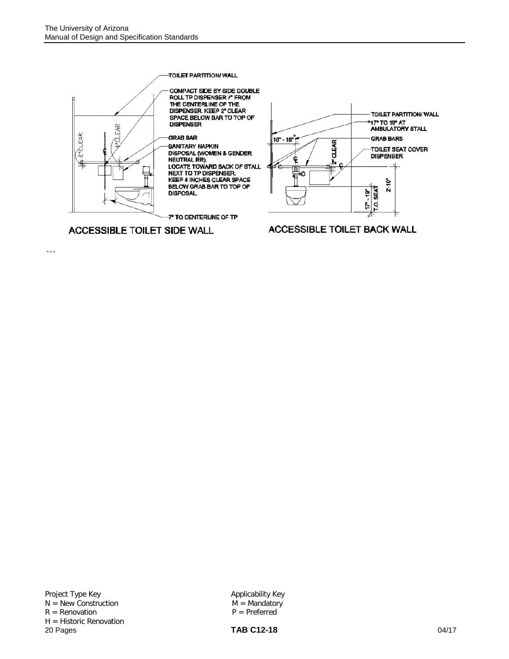

 $\cdots$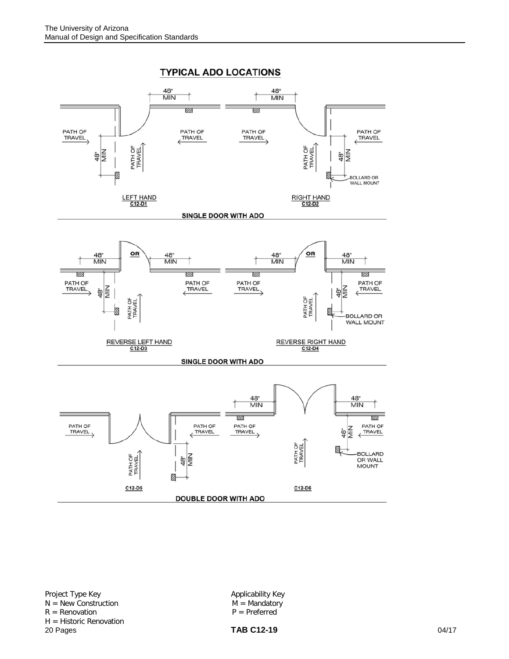

Project Type Key<br>
N = New Construction<br>
N = Mandatory<br>
M = Mandatory  $N = New Construction$ <br>  $R = Renovation$ <br>  $P = Prefferred$  $R =$  Renovation H = Historic Renovation<br>20 Pages 20 Pages **TAB C12-19** 04/17